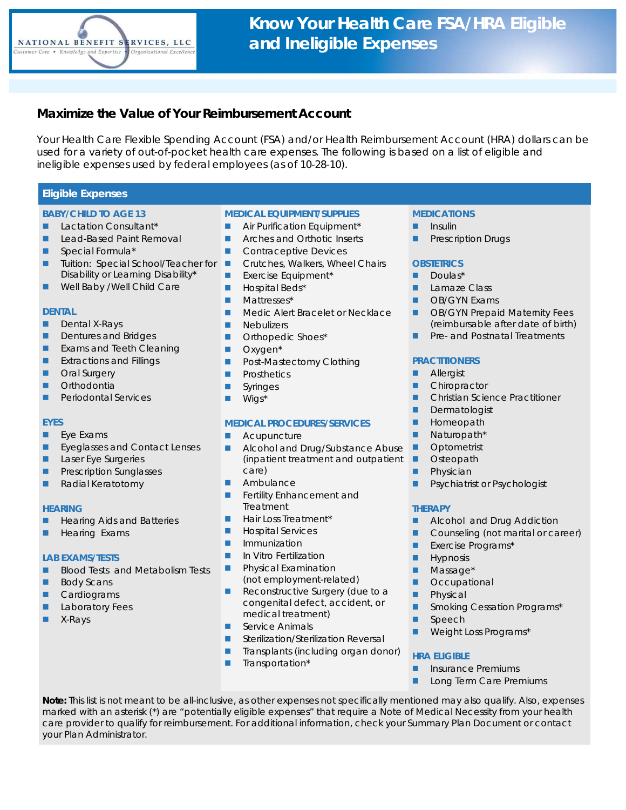

# **Maximize the Value of Your Reimbursement Account**

Your Health Care Flexible Spending Account (FSA) and/or Health Reimbursement Account (HRA) dollars can be used for a variety of out-of-pocket health care expenses. The following is based on a list of eligible and ineligible expenses used by federal employees (as of 10-28-10).

## **Eligible Expenses**

## **BABY/CHILD TO AGE 13**

- **Lactation Consultant\***
- **Lead-Based Paint Removal**
- Special Formula\*
- **Tuition: Special School/Teacher for** Disability or Learning Disability\*
- **Well Baby /Well Child Care**

## **DENTAL**

- **Dental X-Rays**
- Dentures and Bridges
- **Exams and Teeth Cleaning**
- **EXtractions and Fillings**
- **Dral Surgery**
- **Orthodontia**
- **Periodontal Services**

## **EYES**

- Eye Exams
- **Exeglasses and Contact Lenses**
- Laser Eye Surgeries
- Prescription Sunglasses
- Radial Keratotomy

#### **HEARING**

- Hearing Aids and Batteries
- **Hearing Exams**

## **LAB EXAMS/TESTS**

- **Blood Tests and Metabolism Tests**
- Body Scans
- **Cardiograms**
- Laboratory Fees
- **X-Rays**

## **MEDICAL EQUIPMENT/SUPPLIES**

- **Air Purification Equipment\***
- **Arches and Orthotic Inserts**
- Contraceptive Devices
- **Crutches, Walkers, Wheel Chairs**
- **Exercise Equipment\***
- **Hospital Beds\***
- **Mattresses\***
- **Medic Alert Bracelet or Necklace**
- **Nebulizers**
- **D** Orthopedic Shoes\*
- Oxygen<sup>\*</sup>
- **Post-Mastectomy Clothing**
- **Prosthetics**
- **Syringes**
- Wigs<sup>\*</sup>

## **MEDICAL PROCEDURES/SERVICES**

- **Acupuncture**
- Alcohol and Drug/Substance Abuse (inpatient treatment and outpatient care)
- Ambulance
- **Fertility Enhancement and** Treatment
- Hair Loss Treatment\*
- **Hospital Services**
- **I** Immunization
- **In Vitro Fertilization**
- Physical Examination (not employment-related)
- Reconstructive Surgery (due to a congenital defect, accident, or medical treatment)
- Service Animals
- Sterilization/Sterilization Reversal
- Transplants (including organ donor)
- **Transportation\***

## **MEDICATIONS**

- **Insulin**
- Prescription Drugs

#### **OBSTETRICS**

- **Doulas\***
- **Lamaze Class**
- **DE** OB/GYN Exams
- **DE OB/GYN Prepaid Maternity Fees** (reimbursable after date of birth)
- **Pre- and Postnatal Treatments**

## **PRACTITIONERS**

- **Allergist**
- **Chiropractor**
- **Christian Science Practitioner**
- **Dermatologist**
- **Homeopath**
- **Naturopath\***
- **Depending Department**
- **D** Osteopath
- **Physician**
- **Psychiatrist or Psychologist**

#### **THERAPY**

- **Alcohol and Drug Addiction**
- Counseling (not marital or career)
- **Exercise Programs\***
- **Hypnosis**
- **Massage\***
- **D** Occupational
- **Physical**
- **Smoking Cessation Programs\***
- **Speech**
- Weight Loss Programs\*

#### **HRA ELIGIBLE**

- Insurance Premiums
- **Long Term Care Premiums**

**Note:** This list is not meant to be all-inclusive, as other expenses not specifically mentioned may also qualify. Also, expenses marked with an asterisk (\*) are "potentially eligible expenses" that require a Note of Medical Necessity from your health care provider to qualify for reimbursement. For additional information, check your Summary Plan Document or contact your Plan Administrator.